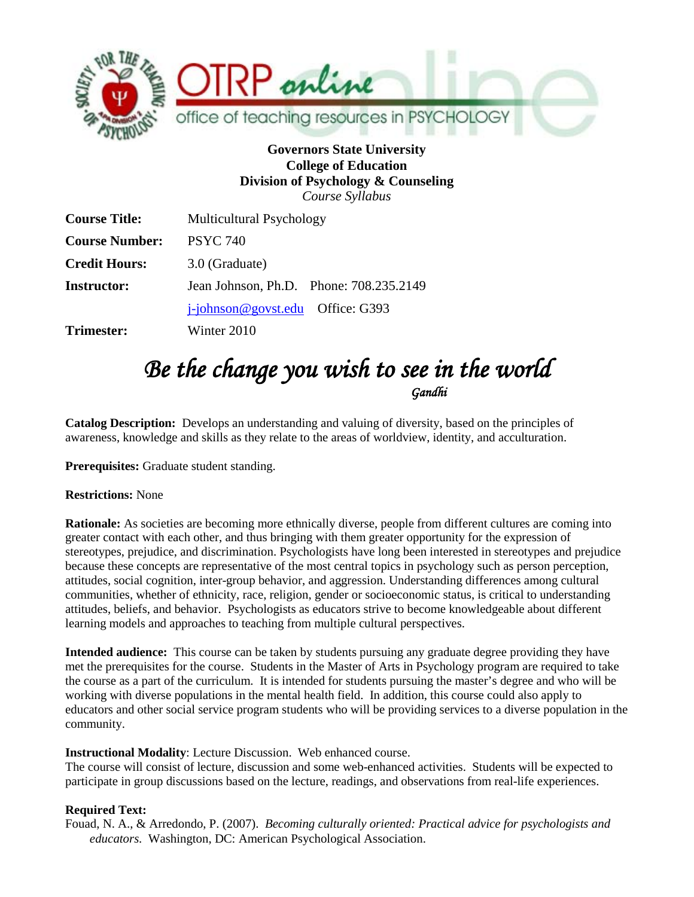

## **Governors State University College of Education Division of Psychology & Counseling** *Course Syllabus*

| <b>Course Title:</b>  | Multicultural Psychology                |  |  |
|-----------------------|-----------------------------------------|--|--|
| <b>Course Number:</b> | <b>PSYC 740</b>                         |  |  |
| <b>Credit Hours:</b>  | 3.0 (Graduate)                          |  |  |
| <b>Instructor:</b>    | Jean Johnson, Ph.D. Phone: 708.235.2149 |  |  |
|                       | $i$ -johnson@govst.edu Office: G393     |  |  |
| <b>Trimester:</b>     | Winter 2010                             |  |  |

# Be the change you wish to see in the world

**Catalog Description:** Develops an understanding and valuing of diversity, based on the principles of awareness, knowledge and skills as they relate to the areas of worldview, identity, and acculturation.

**Prerequisites:** Graduate student standing.

## **Restrictions:** None

**Rationale:** As societies are becoming more ethnically diverse, people from different cultures are coming into greater contact with each other, and thus bringing with them greater opportunity for the expression of stereotypes, prejudice, and discrimination. Psychologists have long been interested in stereotypes and prejudice because these concepts are representative of the most central topics in psychology such as person perception, attitudes, social cognition, inter-group behavior, and aggression. Understanding differences among cultural communities, whether of ethnicity, race, religion, gender or socioeconomic status, is critical to understanding attitudes, beliefs, and behavior. Psychologists as educators strive to become knowledgeable about different learning models and approaches to teaching from multiple cultural perspectives.

**Intended audience:** This course can be taken by students pursuing any graduate degree providing they have met the prerequisites for the course. Students in the Master of Arts in Psychology program are required to take the course as a part of the curriculum. It is intended for students pursuing the master's degree and who will be working with diverse populations in the mental health field. In addition, this course could also apply to educators and other social service program students who will be providing services to a diverse population in the community.

## **Instructional Modality**: Lecture Discussion. Web enhanced course.

The course will consist of lecture, discussion and some web-enhanced activities. Students will be expected to participate in group discussions based on the lecture, readings, and observations from real-life experiences.

## **Required Text:**

Fouad, N. A., & Arredondo, P. (2007). *Becoming culturally oriented: Practical advice for psychologists and educators*. Washington, DC: American Psychological Association.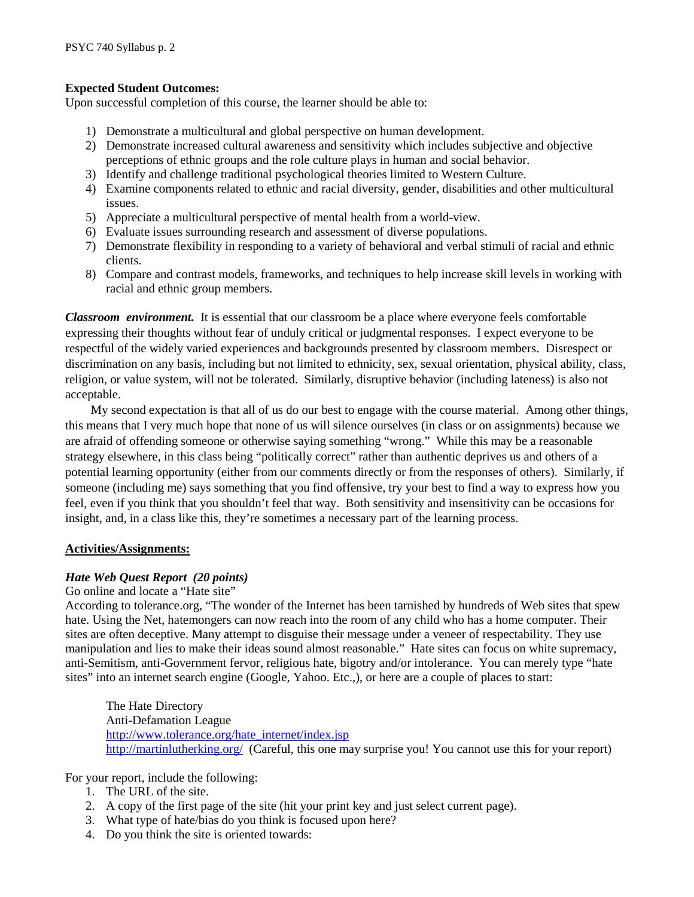#### **Expected Student Outcomes:**

Upon successful completion of this course, the learner should be able to:

- 1) Demonstrate a multicultural and global perspective on human development.
- 2) Demonstrate increased cultural awareness and sensitivity which includes subjective and objective perceptions of ethnic groups and the role culture plays in human and social behavior.
- 3) Identify and challenge traditional psychological theories limited to Western Culture.
- 4) Examine components related to ethnic and racial diversity, gender, disabilities and other multicultural issues.
- 5) Appreciate a multicultural perspective of mental health from a world-view.
- 6) Evaluate issues surrounding research and assessment of diverse populations.
- 7) Demonstrate flexibility in responding to a variety of behavioral and verbal stimuli of racial and ethnic clients.
- 8) Compare and contrast models, frameworks, and techniques to help increase skill levels in working with racial and ethnic group members.

*Classroom environment.* It is essential that our classroom be a place where everyone feels comfortable expressing their thoughts without fear of unduly critical or judgmental responses. I expect everyone to be respectful of the widely varied experiences and backgrounds presented by classroom members. Disrespect or discrimination on any basis, including but not limited to ethnicity, sex, sexual orientation, physical ability, class, religion, or value system, will not be tolerated. Similarly, disruptive behavior (including lateness) is also not acceptable.

My second expectation is that all of us do our best to engage with the course material. Among other things, this means that I very much hope that none of us will silence ourselves (in class or on assignments) because we are afraid of offending someone or otherwise saying something "wrong." While this may be a reasonable strategy elsewhere, in this class being "politically correct" rather than authentic deprives us and others of a potential learning opportunity (either from our comments directly or from the responses of others). Similarly, if someone (including me) says something that you find offensive, try your best to find a way to express how you feel, even if you think that you shouldn't feel that way. Both sensitivity and insensitivity can be occasions for insight, and, in a class like this, they're sometimes a necessary part of the learning process.

#### **Activities/Assignments:**

#### *Hate Web Quest Report (20 points)*

#### Go online and locate a "Hate site"

According to tolerance.org, "The wonder of the Internet has been tarnished by hundreds of Web sites that spew hate. Using the Net, hatemongers can now reach into the room of any child who has a home computer. Their sites are often deceptive. Many attempt to disguise their message under a veneer of respectability. They use manipulation and lies to make their ideas sound almost reasonable." Hate sites can focus on white supremacy, anti-Semitism, anti-Government fervor, religious hate, bigotry and/or intolerance. You can merely type "hate sites" into an internet search engine (Google, Yahoo. Etc.,), or here are a couple of places to start:

The Hate Directory Anti-Defamation League [http://www.tolerance.org/hate\\_internet/index.jsp](http://www.tolerance.org/hate_internet/index.jsp) <http://martinlutherking.org/>(Careful, this one may surprise you! You cannot use this for your report)

For your report, include the following:

- 1. The URL of the site.
- 2. A copy of the first page of the site (hit your print key and just select current page).
- 3. What type of hate/bias do you think is focused upon here?
- 4. Do you think the site is oriented towards: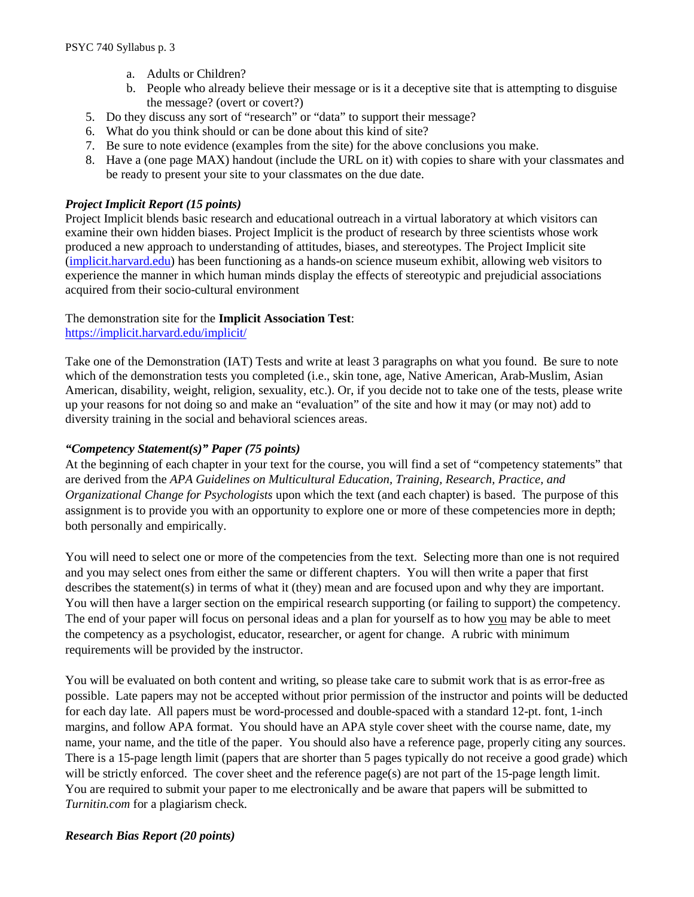- a. Adults or Children?
- b. People who already believe their message or is it a deceptive site that is attempting to disguise the message? (overt or covert?)
- 5. Do they discuss any sort of "research" or "data" to support their message?
- 6. What do you think should or can be done about this kind of site?
- 7. Be sure to note evidence (examples from the site) for the above conclusions you make.
- 8. Have a (one page MAX) handout (include the URL on it) with copies to share with your classmates and be ready to present your site to your classmates on the due date.

#### *Project Implicit Report (15 points)*

Project Implicit blends basic research and educational outreach in a virtual laboratory at which visitors can examine their own hidden biases. Project Implicit is the product of research by three scientists whose work produced a new approach to understanding of attitudes, biases, and stereotypes. The Project Implicit site [\(implicit.harvard.edu\)](https://implicit.harvard.edu/) has been functioning as a hands-on science museum exhibit, allowing web visitors to experience the manner in which human minds display the effects of stereotypic and prejudicial associations acquired from their socio-cultural environment

## The demonstration site for the **Implicit Association Test**:

#### <https://implicit.harvard.edu/implicit/>

Take one of the Demonstration (IAT) Tests and write at least 3 paragraphs on what you found. Be sure to note which of the demonstration tests you completed (i.e., skin tone, age, Native American, Arab-Muslim, Asian American, disability, weight, religion, sexuality, etc.). Or, if you decide not to take one of the tests, please write up your reasons for not doing so and make an "evaluation" of the site and how it may (or may not) add to diversity training in the social and behavioral sciences areas.

#### *"Competency Statement(s)" Paper (75 points)*

At the beginning of each chapter in your text for the course, you will find a set of "competency statements" that are derived from the *APA Guidelines on Multicultural Education, Training, Research, Practice, and Organizational Change for Psychologists* upon which the text (and each chapter) is based. The purpose of this assignment is to provide you with an opportunity to explore one or more of these competencies more in depth; both personally and empirically.

You will need to select one or more of the competencies from the text. Selecting more than one is not required and you may select ones from either the same or different chapters. You will then write a paper that first describes the statement(s) in terms of what it (they) mean and are focused upon and why they are important. You will then have a larger section on the empirical research supporting (or failing to support) the competency. The end of your paper will focus on personal ideas and a plan for yourself as to how you may be able to meet the competency as a psychologist, educator, researcher, or agent for change. A rubric with minimum requirements will be provided by the instructor.

You will be evaluated on both content and writing, so please take care to submit work that is as error-free as possible. Late papers may not be accepted without prior permission of the instructor and points will be deducted for each day late. All papers must be word-processed and double-spaced with a standard 12-pt. font, 1-inch margins, and follow APA format. You should have an APA style cover sheet with the course name, date, my name, your name, and the title of the paper. You should also have a reference page, properly citing any sources. There is a 15-page length limit (papers that are shorter than 5 pages typically do not receive a good grade) which will be strictly enforced. The cover sheet and the reference page(s) are not part of the 15-page length limit. You are required to submit your paper to me electronically and be aware that papers will be submitted to *Turnitin.com* for a plagiarism check.

## *Research Bias Report (20 points)*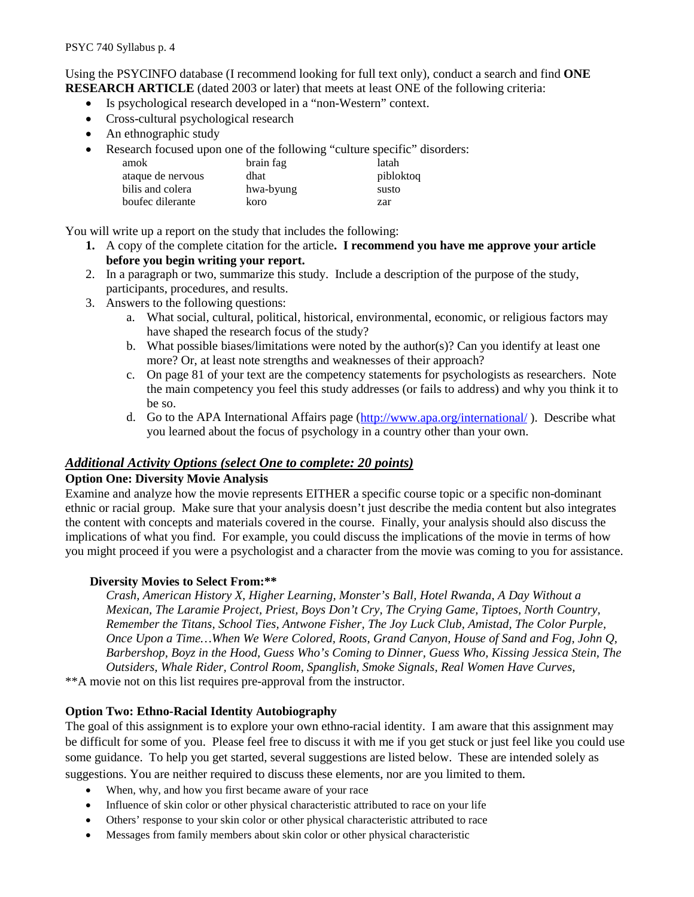Using the PSYCINFO database (I recommend looking for full text only), conduct a search and find **ONE RESEARCH ARTICLE** (dated 2003 or later) that meets at least ONE of the following criteria:

- Is psychological research developed in a "non-Western" context.
- Cross-cultural psychological research
- An ethnographic study
- Research focused upon one of the following "culture specific" disorders:

| amok              | brain fag | latah     |
|-------------------|-----------|-----------|
| ataque de nervous | dhat      | pibloktoq |
| bilis and colera  | hwa-byung | susto     |
| boufec dilerante  | koro      | zar       |

You will write up a report on the study that includes the following:

- **1.** A copy of the complete citation for the article**. I recommend you have me approve your article before you begin writing your report.**
- 2. In a paragraph or two, summarize this study. Include a description of the purpose of the study, participants, procedures, and results.
- 3. Answers to the following questions:
	- a. What social, cultural, political, historical, environmental, economic, or religious factors may have shaped the research focus of the study?
	- b. What possible biases/limitations were noted by the author(s)? Can you identify at least one more? Or, at least note strengths and weaknesses of their approach?
	- c. On page 81 of your text are the competency statements for psychologists as researchers. Note the main competency you feel this study addresses (or fails to address) and why you think it to be so.
	- d. Go to the APA International Affairs page [\(http://www.apa.org/international/](http://www.apa.org/international/)). Describe what you learned about the focus of psychology in a country other than your own.

## *Additional Activity Options (select One to complete: 20 points)*

#### **Option One: Diversity Movie Analysis**

Examine and analyze how the movie represents EITHER a specific course topic or a specific non-dominant ethnic or racial group. Make sure that your analysis doesn't just describe the media content but also integrates the content with concepts and materials covered in the course. Finally, your analysis should also discuss the implications of what you find. For example, you could discuss the implications of the movie in terms of how you might proceed if you were a psychologist and a character from the movie was coming to you for assistance.

## **Diversity Movies to Select From:\*\***

*Crash, American History X, Higher Learning, Monster's Ball, Hotel Rwanda, A Day Without a Mexican, The Laramie Project, Priest, Boys Don't Cry, The Crying Game, Tiptoes, North Country, Remember the Titans, School Ties, Antwone Fisher, The Joy Luck Club, Amistad, The Color Purple, Once Upon a Time…When We Were Colored, Roots, Grand Canyon, House of Sand and Fog, John Q, Barbershop, Boyz in the Hood, Guess Who's Coming to Dinner, Guess Who, Kissing Jessica Stein, The Outsiders, Whale Rider, Control Room, Spanglish, Smoke Signals, Real Women Have Curves,* 

\*\*A movie not on this list requires pre-approval from the instructor.

## **Option Two: Ethno-Racial Identity Autobiography**

The goal of this assignment is to explore your own ethno-racial identity. I am aware that this assignment may be difficult for some of you. Please feel free to discuss it with me if you get stuck or just feel like you could use some guidance. To help you get started, several suggestions are listed below. These are intended solely as suggestions. You are neither required to discuss these elements, nor are you limited to them.

- When, why, and how you first became aware of your race
- Influence of skin color or other physical characteristic attributed to race on your life
- Others' response to your skin color or other physical characteristic attributed to race
- Messages from family members about skin color or other physical characteristic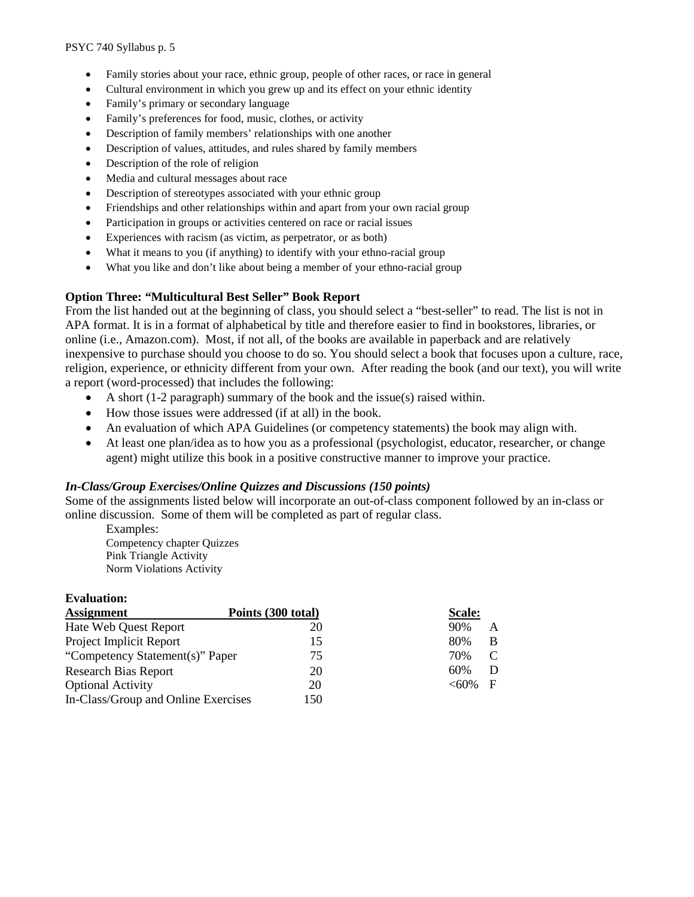- Family stories about your race, ethnic group, people of other races, or race in general
- Cultural environment in which you grew up and its effect on your ethnic identity
- Family's primary or secondary language
- Family's preferences for food, music, clothes, or activity
- Description of family members' relationships with one another
- Description of values, attitudes, and rules shared by family members
- Description of the role of religion
- Media and cultural messages about race
- Description of stereotypes associated with your ethnic group
- Friendships and other relationships within and apart from your own racial group
- Participation in groups or activities centered on race or racial issues
- Experiences with racism (as victim, as perpetrator, or as both)
- What it means to you (if anything) to identify with your ethno-racial group
- What you like and don't like about being a member of your ethno-racial group

#### **Option Three: "Multicultural Best Seller" Book Report**

From the list handed out at the beginning of class, you should select a "best-seller" to read. The list is not in APA format. It is in a format of alphabetical by title and therefore easier to find in bookstores, libraries, or online (i.e., Amazon.com). Most, if not all, of the books are available in paperback and are relatively inexpensive to purchase should you choose to do so. You should select a book that focuses upon a culture, race, religion, experience, or ethnicity different from your own. After reading the book (and our text), you will write a report (word-processed) that includes the following:

- A short (1-2 paragraph) summary of the book and the issue(s) raised within.
- How those issues were addressed (if at all) in the book.
- An evaluation of which APA Guidelines (or competency statements) the book may align with.
- At least one plan/idea as to how you as a professional (psychologist, educator, researcher, or change agent) might utilize this book in a positive constructive manner to improve your practice.

#### *In-Class/Group Exercises/Online Quizzes and Discussions (150 points)*

Some of the assignments listed below will incorporate an out-of-class component followed by an in-class or online discussion. Some of them will be completed as part of regular class.

Examples: Competency chapter Quizzes Pink Triangle Activity Norm Violations Activity

#### **Evaluation:**

| <b>Assignment</b>                   | Points (300 total) | Scale:       |
|-------------------------------------|--------------------|--------------|
| Hate Web Quest Report               | 20                 | 90%<br>A     |
| Project Implicit Report             | 15                 | 80%<br>B     |
| "Competency Statement(s)" Paper     | 75                 | C<br>70%     |
| <b>Research Bias Report</b>         | 20                 | 60%<br>D     |
| <b>Optional Activity</b>            | 20                 | $<60\%$<br>F |
| In-Class/Group and Online Exercises | 150                |              |